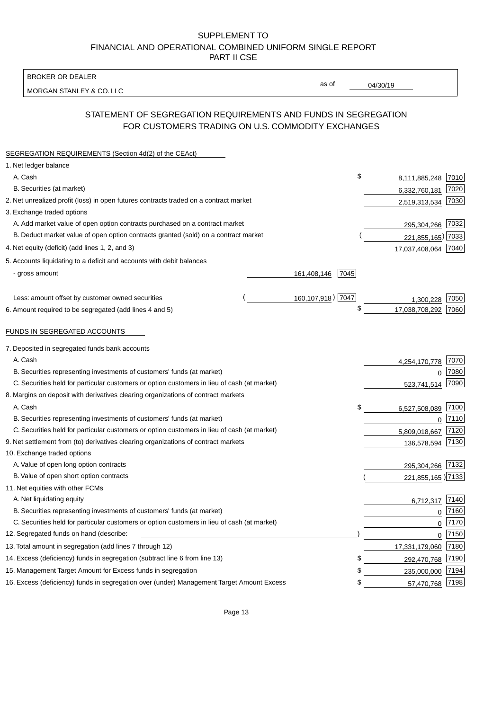BROKER OR DEALER

MORGAN STANLEY & CO. LLC

04/30/19

as of

# STATEMENT OF SEGREGATION REQUIREMENTS AND FUNDS IN SEGREGATION FOR CUSTOMERS TRADING ON U.S. COMMODITY EXCHANGES

| SEGREGATION REQUIREMENTS (Section 4d(2) of the CEAct)                                       |             |                   |                   |      |
|---------------------------------------------------------------------------------------------|-------------|-------------------|-------------------|------|
| 1. Net ledger balance                                                                       |             |                   |                   |      |
| A. Cash                                                                                     |             | \$                | 8,111,885,248     | 7010 |
| B. Securities (at market)                                                                   |             |                   | 6,332,760,181     | 7020 |
| 2. Net unrealized profit (loss) in open futures contracts traded on a contract market       |             |                   | 2,519,313,534     | 7030 |
| 3. Exchange traded options                                                                  |             |                   |                   |      |
| A. Add market value of open option contracts purchased on a contract market                 |             |                   | 295,304,266 7032  |      |
| B. Deduct market value of open option contracts granted (sold) on a contract market         |             |                   | 221,855,165) 7033 |      |
| 4. Net equity (deficit) (add lines 1, 2, and 3)                                             |             |                   | 17,037,408,064    | 7040 |
| 5. Accounts liquidating to a deficit and accounts with debit balances                       |             |                   |                   |      |
| - gross amount                                                                              | 161,408,146 | 7045              |                   |      |
|                                                                                             |             |                   |                   |      |
| Less: amount offset by customer owned securities                                            |             | 160,107,918) 7047 | 1,300,228         | 7050 |
| 6. Amount required to be segregated (add lines 4 and 5)                                     |             | \$                | 17,038,708,292    | 7060 |
|                                                                                             |             |                   |                   |      |
| FUNDS IN SEGREGATED ACCOUNTS                                                                |             |                   |                   |      |
| 7. Deposited in segregated funds bank accounts                                              |             |                   |                   |      |
| A. Cash                                                                                     |             |                   | 4,254,170,778     | 7070 |
| B. Securities representing investments of customers' funds (at market)                      |             |                   | $\Omega$          | 7080 |
| C. Securities held for particular customers or option customers in lieu of cash (at market) |             |                   | 523,741,514       | 7090 |
| 8. Margins on deposit with derivatives clearing organizations of contract markets           |             |                   |                   |      |
| A. Cash                                                                                     |             | \$                | 6,527,508,089     | 7100 |
| B. Securities representing investments of customers' funds (at market)                      |             |                   | $\mathbf 0$       | 7110 |
| C. Securities held for particular customers or option customers in lieu of cash (at market) |             |                   | 5,809,018,667     | 7120 |
| 9. Net settlement from (to) derivatives clearing organizations of contract markets          |             |                   | 136,578,594       | 7130 |
| 10. Exchange traded options                                                                 |             |                   |                   |      |
| A. Value of open long option contracts                                                      |             |                   | 295,304,266       | 7132 |
| B. Value of open short option contracts                                                     |             |                   | 221,855,165 7133  |      |
| 11. Net equities with other FCMs                                                            |             |                   |                   |      |
| A. Net liquidating equity                                                                   |             |                   | 6,712,317         | 7140 |
| B. Securities representing investments of customers' funds (at market)                      |             |                   | $\overline{0}$    | 7160 |
| C. Securities held for particular customers or option customers in lieu of cash (at market) |             |                   | $\mathbf 0$       | 7170 |
| 12. Segregated funds on hand (describe:                                                     |             |                   | $\mathbf 0$       | 7150 |
| 13. Total amount in segregation (add lines 7 through 12)                                    |             |                   | 17,331,179,060    | 7180 |
| 14. Excess (deficiency) funds in segregation (subtract line 6 from line 13)                 |             | S                 | 292,470,768       | 7190 |
| 15. Management Target Amount for Excess funds in segregation                                |             | \$                | 235,000,000       | 7194 |
| 16. Excess (deficiency) funds in segregation over (under) Management Target Amount Excess   |             | \$                | 57,470,768        | 7198 |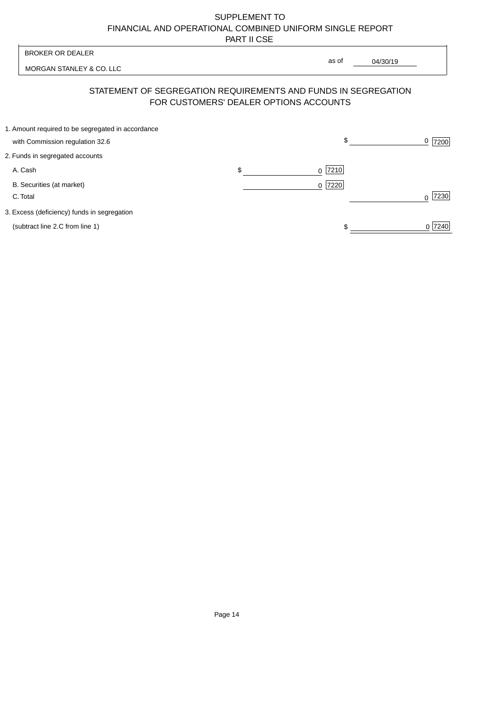| <b>BROKER OR DEALER</b>                                                              | as of                                  |          |                  |
|--------------------------------------------------------------------------------------|----------------------------------------|----------|------------------|
| MORGAN STANLEY & CO. LLC                                                             |                                        | 04/30/19 |                  |
| STATEMENT OF SEGREGATION REQUIREMENTS AND FUNDS IN SEGREGATION                       | FOR CUSTOMERS' DEALER OPTIONS ACCOUNTS |          |                  |
| 1. Amount required to be segregated in accordance<br>with Commission regulation 32.6 |                                        | \$       | 0<br>7200        |
| 2. Funds in segregated accounts                                                      |                                        |          |                  |
| A. Cash                                                                              | \$<br>7210<br><sup>0</sup>             |          |                  |
| B. Securities (at market)<br>C. Total                                                | 0 7220                                 |          | 7230<br>$\Omega$ |
| 3. Excess (deficiency) funds in segregation                                          |                                        |          |                  |
| (subtract line 2.C from line 1)                                                      |                                        |          | 0 7240           |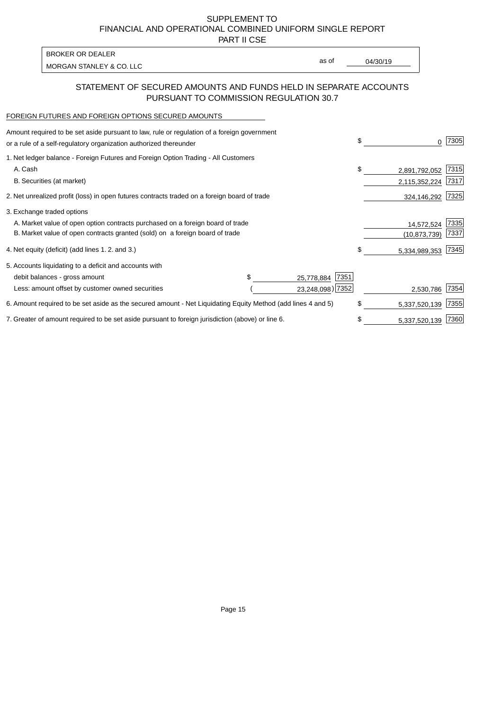PART II CSE

| <b>BROKER OR DEALER</b>  |       |          |
|--------------------------|-------|----------|
|                          | as of | 04/30/19 |
| MORGAN STANLEY & CO. LLC |       |          |

## STATEMENT OF SECURED AMOUNTS AND FUNDS HELD IN SEPARATE ACCOUNTS PURSUANT TO COMMISSION REGULATION 30.7

#### FOREIGN FUTURES AND FOREIGN OPTIONS SECURED AMOUNTS

| Amount required to be set aside pursuant to law, rule or regulation of a foreign government<br>or a rule of a self-regulatory organization authorized thereunder |  |                    | \$ | O.             | 7305 |
|------------------------------------------------------------------------------------------------------------------------------------------------------------------|--|--------------------|----|----------------|------|
| 1. Net ledger balance - Foreign Futures and Foreign Option Trading - All Customers                                                                               |  |                    |    |                |      |
| A. Cash                                                                                                                                                          |  |                    | \$ | 2,891,792,052  | 7315 |
| B. Securities (at market)                                                                                                                                        |  |                    |    | 2,115,352,224  | 7317 |
| 2. Net unrealized profit (loss) in open futures contracts traded on a foreign board of trade                                                                     |  |                    |    | 324,146,292    | 7325 |
| 3. Exchange traded options                                                                                                                                       |  |                    |    |                |      |
| A. Market value of open option contracts purchased on a foreign board of trade                                                                                   |  |                    |    | 14,572,524     | 7335 |
| B. Market value of open contracts granted (sold) on a foreign board of trade                                                                                     |  |                    |    | (10, 873, 739) | 7337 |
| 4. Net equity (deficit) (add lines 1.2. and 3.)                                                                                                                  |  |                    |    | 5,334,989,353  | 7345 |
| 5. Accounts liquidating to a deficit and accounts with                                                                                                           |  |                    |    |                |      |
| debit balances - gross amount                                                                                                                                    |  | 7351<br>25,778,884 |    |                |      |
| Less: amount offset by customer owned securities                                                                                                                 |  | 23,248,098) 7352   |    | 2,530,786      | 7354 |
| 6. Amount required to be set aside as the secured amount - Net Liquidating Equity Method (add lines 4 and 5)                                                     |  |                    | \$ | 5,337,520,139  | 7355 |
| 7. Greater of amount required to be set aside pursuant to foreign jurisdiction (above) or line 6.                                                                |  |                    | \$ | 5,337,520,139  | 7360 |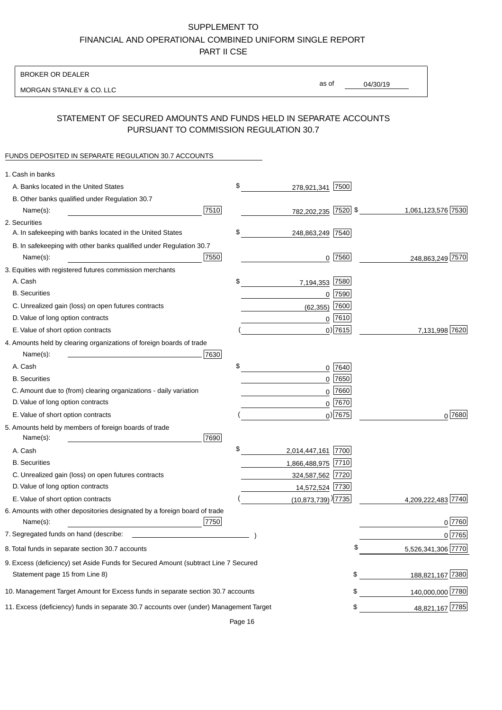BROKER OR DEALER

MORGAN STANLEY & CO. LLC

04/30/19 as of

## STATEMENT OF SECURED AMOUNTS AND FUNDS HELD IN SEPARATE ACCOUNTS PURSUANT TO COMMISSION REGULATION 30.7

#### FUNDS DEPOSITED IN SEPARATE REGULATION 30.7 ACCOUNTS

| 1. Cash in banks                                                                       |      |                                    |             |                    |
|----------------------------------------------------------------------------------------|------|------------------------------------|-------------|--------------------|
| A. Banks located in the United States                                                  |      | \$<br>278,921,341                  | 7500        |                    |
| B. Other banks qualified under Regulation 30.7                                         |      |                                    |             |                    |
| Name(s):                                                                               | 7510 | 782,202,235 7520 \$                |             | 1,061,123,576 7530 |
| 2. Securities                                                                          |      |                                    |             |                    |
| A. In safekeeping with banks located in the United States                              |      | \$<br>248,863,249 7540             |             |                    |
| B. In safekeeping with other banks qualified under Regulation 30.7                     |      |                                    |             |                    |
| Name(s):                                                                               | 7550 | 0                                  | 7560        | 248,863,249 7570   |
| 3. Equities with registered futures commission merchants                               |      |                                    |             |                    |
| A. Cash                                                                                |      | \$<br>7,194,353                    | 7580        |                    |
| <b>B.</b> Securities                                                                   |      |                                    | $0$ 7590    |                    |
| C. Unrealized gain (loss) on open futures contracts                                    |      | (62, 355)                          | 7600        |                    |
| D. Value of long option contracts                                                      |      |                                    | $0$ 7610    |                    |
| E. Value of short option contracts                                                     |      |                                    | $0)$ 7615   | 7,131,998 7620     |
| 4. Amounts held by clearing organizations of foreign boards of trade                   |      |                                    |             |                    |
| Name(s):                                                                               | 7630 |                                    |             |                    |
| A. Cash                                                                                |      | \$                                 | 0 7640      |                    |
| <b>B.</b> Securities                                                                   |      |                                    | $0$ 7650    |                    |
| C. Amount due to (from) clearing organizations - daily variation                       |      | 0                                  | 7660        |                    |
| D. Value of long option contracts                                                      |      |                                    | 0 7670      |                    |
| E. Value of short option contracts                                                     |      |                                    | $_0$ ) 7675 | 0 7680             |
| 5. Amounts held by members of foreign boards of trade<br>Name(s):                      | 7690 |                                    |             |                    |
| A. Cash                                                                                |      | \$<br>2,014,447,161 7700           |             |                    |
| <b>B.</b> Securities                                                                   |      | 1,866,488,975 7710                 |             |                    |
| C. Unrealized gain (loss) on open futures contracts                                    |      | 324,587,562 7720                   |             |                    |
| D. Value of long option contracts                                                      |      | 14,572,524 7730                    |             |                    |
| E. Value of short option contracts                                                     |      | $(10,873,739)$ <sup>)</sup> $7735$ |             | 4,209,222,483 7740 |
| 6. Amounts with other depositories designated by a foreign board of trade<br>Name(s):  | 7750 |                                    |             | 0 7760             |
| 7. Segregated funds on hand (describe:                                                 |      |                                    |             | 0 7765             |
| 8. Total funds in separate section 30.7 accounts                                       |      |                                    |             | 5,526,341,306 7770 |
| 9. Excess (deficiency) set Aside Funds for Secured Amount (subtract Line 7 Secured     |      |                                    |             |                    |
| Statement page 15 from Line 8)                                                         |      |                                    | \$          | 188,821,167 7380   |
| 10. Management Target Amount for Excess funds in separate section 30.7 accounts        |      |                                    | \$          | 140,000,000 7780   |
| 11. Excess (deficiency) funds in separate 30.7 accounts over (under) Management Target |      |                                    | \$          | 48,821,167 7785    |

Page 16